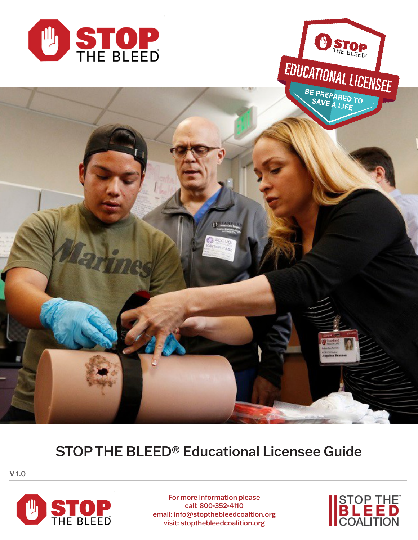



# STOP THE BLEED® Educational Licensee Guide

V 1.0



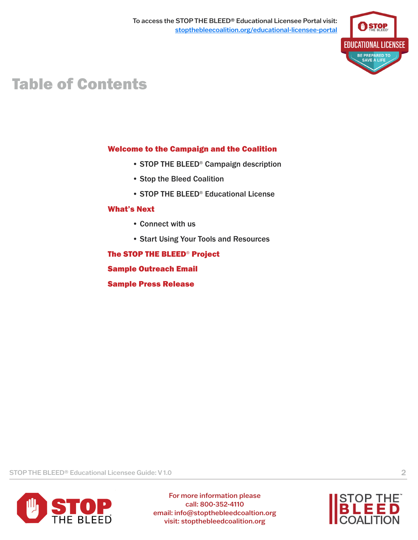

# Table of Contents

### Welcome to the Campaign and the Coalition

- STOP THE BLEED® Campaign description
- Stop the Bleed Coalition
- STOP THE BLEED® Educational License

#### What's Next

- Connect with us
- Start Using Your Tools and Resources

#### The STOP THE BLEED® Project

Sample Outreach Email

Sample Press Release

STOP THE BLEED® Educational Licensee Guide: V 1.0 2



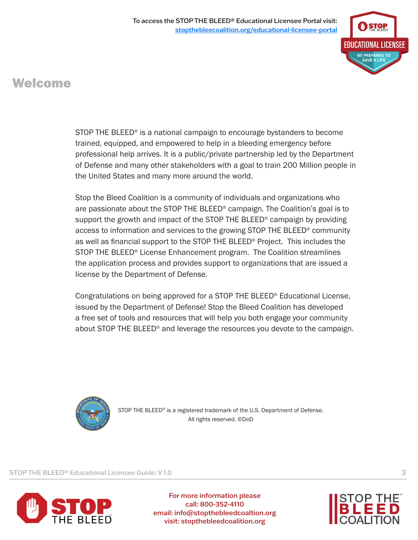

### Welcome

STOP THE BLEED® is a national campaign to encourage bystanders to become trained, equipped, and empowered to help in a bleeding emergency before professional help arrives. It is a public/private partnership led by the Department of Defense and many other stakeholders with a goal to train 200 Million people in the United States and many more around the world.

Stop the Bleed Coalition is a community of individuals and organizations who are passionate about the STOP THE BLEED® campaign. The Coalition's goal is to support the growth and impact of the STOP THE BLEED® campaign by providing access to information and services to the growing STOP THE BLEED® community as well as financial support to the STOP THE BLEED® Project. This includes the STOP THE BLEED® License Enhancement program. The Coalition streamlines the application process and provides support to organizations that are issued a license by the Department of Defense.

Congratulations on being approved for a STOP THE BLEED® Educational License, issued by the Department of Defense! Stop the Bleed Coalition has developed a free set of tools and resources that will help you both engage your community about STOP THE BLEED® and leverage the resources you devote to the campaign.



STOP THE BLEED<sup>®</sup> is a registered trademark of the U.S. Department of Defense. All rights reserved. ©DoD

STOP THE BLEED® Educational Licensee Guide: V 1.0 3



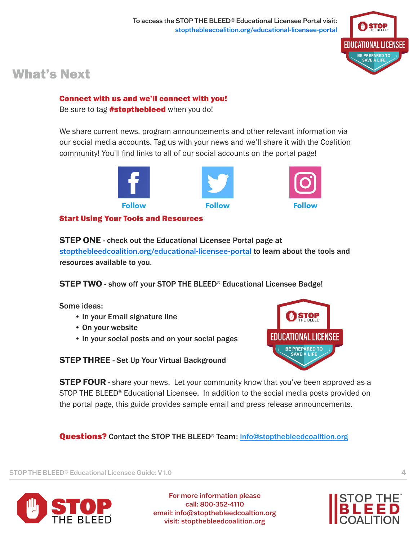

### What's Next

### Connect with us and we'll connect with you!

Be sure to tag **#stopthebleed** when you do!

We share current news, program announcements and other relevant information via our social media accounts. Tag us with your news and we'll share it with the Coalition community! You'll find links to all of our social accounts on the portal page!



#### Start Using Your Tools and Resources

**STEP ONE** - check out the Educational Licensee Portal page at [stopthebleedcoalition.org/educational-licensee-portal](https://stopthebleedcoalition.org/educational-licensee-portal/) to learn about the tools and resources available to you.

**STEP TWO** - show off your STOP THE BLEED® Educational Licensee Badge!

Some ideas:

- In your Email signature line
- On your website
- In your social posts and on your social pages

**STEP THREE** - Set Up Your Virtual Background



**STEP FOUR** - share your news. Let your community know that you've been approved as a STOP THE BLEED<sup>®</sup> Educational Licensee. In addition to the social media posts provided on the portal page, this guide provides sample email and press release announcements.

**Questions?** Contact the STOP THE BLEED® Tea[m: info@stopthebleedcoalition.org](mailto:info@stopthebleedcoalition.org)

STOP THE BLEED® Educational Licensee Guide: V 1.0 4



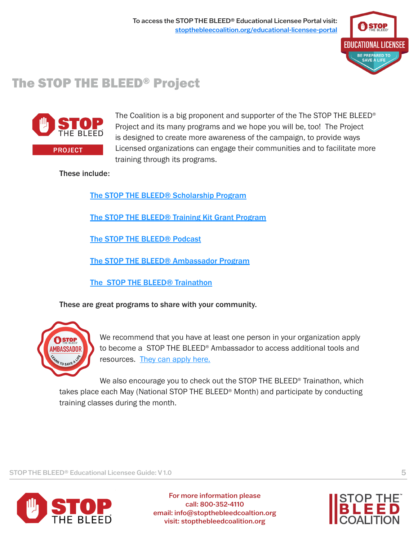

## The STOP THE BLEED® Project



The Coalition is a big proponent and supporter of the The STOP THE BLEED® Project and its many programs and we hope you will be, too! The Project is designed to create more awareness of the campaign, to provide ways Licensed organizations can engage their communities and to facilitate more training through its programs.

These include:

[The STOP THE BLEED® Scholarship Program](https://stopthebleedcoalition.org/scholarships/)

[The STOP THE BLEED® Training Kit Grant Program](https://stopthebleedcoalition.org/train/)

[The STOP THE BLEED® Podcast](https://anchor.fm/stopthebleedpodcast)

[The STOP THE BLEED® Ambassador Program](https://stopthebleedcoalition.org/project/#ambassador)

[The STOP THE BLEED® Trainathon](https://stopthebleedcoalition.org/train/)

These are great programs to share with your community.



We recommend that you have at least one person in your organization apply to become a STOP THE BLEED® Ambassador to access additional tools and resources. [They can apply here.](https://stopthebleedcoalition.org/project/#ambassador)

We also encourage you to check out the STOP THE BLEED<sup>®</sup> Trainathon, which takes place each May (National STOP THE BLEED® Month) and participate by conducting training classes during the month.

STOP THE BLEED® Educational Licensee Guide: V 1.0 5



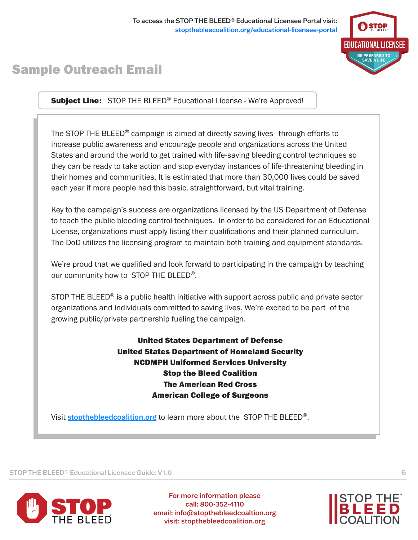### Sample Outreach Email

EDUCATIONAL LICENSEE

Subject Line: STOP THE BLEED® Educational License - We're Approved!

The STOP THE BLEED® campaign is aimed at directly saving lives—through efforts to increase public awareness and encourage people and organizations across the United States and around the world to get trained with life-saving bleeding control techniques so they can be ready to take action and stop everyday instances of life-threatening bleeding in their homes and communities. It is estimated that more than 30,000 lives could be saved each year if more people had this basic, straightforward, but vital training.

Key to the campaign's success are organizations licensed by the US Department of Defense to teach the public bleeding control techniques. In order to be considered for an Educational License, organizations must apply listing their qualifications and their planned curriculum. The DoD utilizes the licensing program to maintain both training and equipment standards.

We're proud that we qualified and look forward to participating in the campaign by teaching our community how to STOP THE BLEED<sup>®</sup>.

STOP THE BLEED<sup>®</sup> is a public health initiative with support across public and private sector organizations and individuals committed to saving lives. We're excited to be part of the growing public/private partnership fueling the campaign.

> United States Department of Defense United States Department of Homeland Security NCDMPH Uniformed Services University Stop the Bleed Coalition The American Red Cross American College of Surgeons

Visit stopthebleed coalition.org to learn more about the STOP THE BLEED<sup>®</sup>.

STOP THE BLEED® Educational Licensee Guide: V 1.0 6